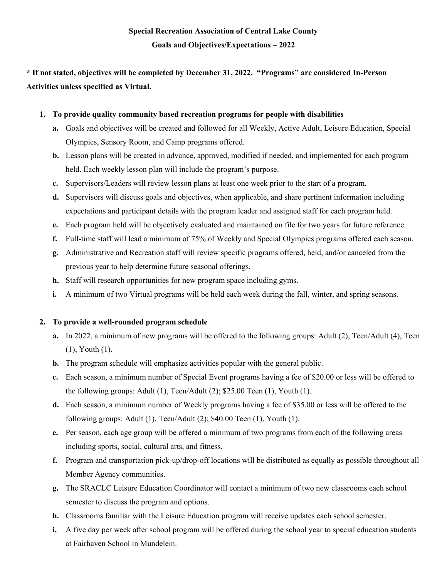# **\* If not stated, objectives will be completed by December 31, 2022. "Programs" are considered In-Person Activities unless specified as Virtual.**

## **1. To provide quality community based recreation programs for people with disabilities**

- **a.** Goals and objectives will be created and followed for all Weekly, Active Adult, Leisure Education, Special Olympics, Sensory Room, and Camp programs offered.
- **b.** Lesson plans will be created in advance, approved, modified if needed, and implemented for each program held. Each weekly lesson plan will include the program's purpose.
- **c.** Supervisors/Leaders will review lesson plans at least one week prior to the start of a program.
- **d.** Supervisors will discuss goals and objectives, when applicable, and share pertinent information including expectations and participant details with the program leader and assigned staff for each program held.
- **e.** Each program held will be objectively evaluated and maintained on file for two years for future reference.
- **f.** Full-time staff will lead a minimum of 75% of Weekly and Special Olympics programs offered each season.
- **g.** Administrative and Recreation staff will review specific programs offered, held, and/or canceled from the previous year to help determine future seasonal offerings.
- **h.** Staff will research opportunities for new program space including gyms.
- **i.** A minimum of two Virtual programs will be held each week during the fall, winter, and spring seasons.

# **2. To provide a well-rounded program schedule**

- **a.** In 2022, a minimum of new programs will be offered to the following groups: Adult (2), Teen/Adult (4), Teen (1), Youth (1).
- **b.** The program schedule will emphasize activities popular with the general public.
- **c.** Each season, a minimum number of Special Event programs having a fee of \$20.00 or less will be offered to the following groups: Adult (1), Teen/Adult (2); \$25.00 Teen (1), Youth (1).
- **d.** Each season, a minimum number of Weekly programs having a fee of \$35.00 or less will be offered to the following groups: Adult (1), Teen/Adult (2); \$40.00 Teen (1), Youth (1).
- **e.** Per season, each age group will be offered a minimum of two programs from each of the following areas including sports, social, cultural arts, and fitness.
- **f.** Program and transportation pick-up/drop-off locations will be distributed as equally as possible throughout all Member Agency communities.
- **g.** The SRACLC Leisure Education Coordinator will contact a minimum of two new classrooms each school semester to discuss the program and options.
- **h.** Classrooms familiar with the Leisure Education program will receive updates each school semester.
- **i.** A five day per week after school program will be offered during the school year to special education students at Fairhaven School in Mundelein.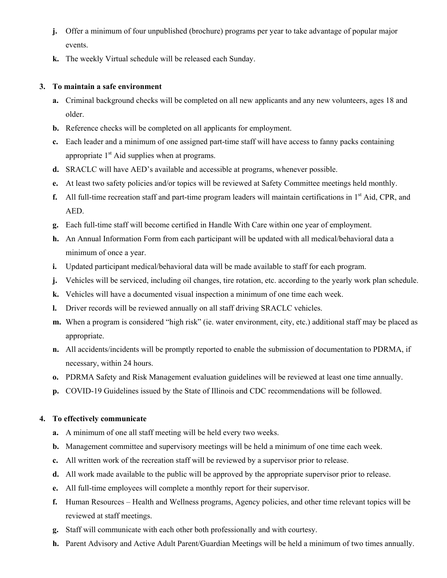- **j.** Offer a minimum of four unpublished (brochure) programs per year to take advantage of popular major events.
- **k.** The weekly Virtual schedule will be released each Sunday.

## **3. To maintain a safe environment**

- **a.** Criminal background checks will be completed on all new applicants and any new volunteers, ages 18 and older.
- **b.** Reference checks will be completed on all applicants for employment.
- **c.** Each leader and a minimum of one assigned part-time staff will have access to fanny packs containing appropriate  $1<sup>st</sup>$  Aid supplies when at programs.
- **d.** SRACLC will have AED's available and accessible at programs, whenever possible.
- **e.** At least two safety policies and/or topics will be reviewed at Safety Committee meetings held monthly.
- **f.** All full-time recreation staff and part-time program leaders will maintain certifications in 1<sup>st</sup> Aid, CPR, and AED.
- **g.** Each full-time staff will become certified in Handle With Care within one year of employment.
- **h.** An Annual Information Form from each participant will be updated with all medical/behavioral data a minimum of once a year.
- **i.** Updated participant medical/behavioral data will be made available to staff for each program.
- **j.** Vehicles will be serviced, including oil changes, tire rotation, etc. according to the yearly work plan schedule.
- **k.** Vehicles will have a documented visual inspection a minimum of one time each week.
- **l.** Driver records will be reviewed annually on all staff driving SRACLC vehicles.
- **m.** When a program is considered "high risk" (ie. water environment, city, etc.) additional staff may be placed as appropriate.
- **n.** All accidents/incidents will be promptly reported to enable the submission of documentation to PDRMA, if necessary, within 24 hours.
- **o.** PDRMA Safety and Risk Management evaluation guidelines will be reviewed at least one time annually.
- **p.** COVID-19 Guidelines issued by the State of Illinois and CDC recommendations will be followed.

# **4. To effectively communicate**

- **a.** A minimum of one all staff meeting will be held every two weeks.
- **b.** Management committee and supervisory meetings will be held a minimum of one time each week.
- **c.** All written work of the recreation staff will be reviewed by a supervisor prior to release.
- **d.** All work made available to the public will be approved by the appropriate supervisor prior to release.
- **e.** All full-time employees will complete a monthly report for their supervisor.
- **f.** Human Resources Health and Wellness programs, Agency policies, and other time relevant topics will be reviewed at staff meetings.
- **g.** Staff will communicate with each other both professionally and with courtesy.
- **h.** Parent Advisory and Active Adult Parent/Guardian Meetings will be held a minimum of two times annually.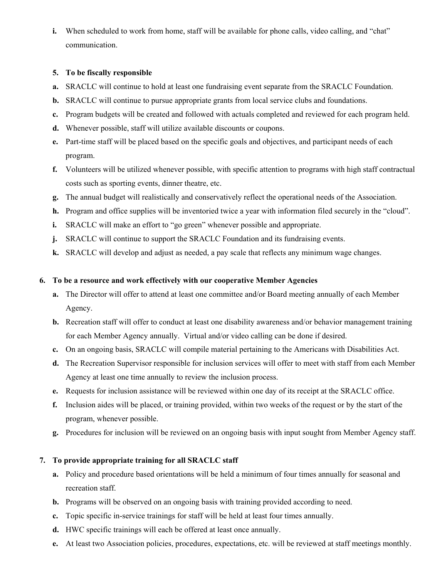**i.** When scheduled to work from home, staff will be available for phone calls, video calling, and "chat" communication.

## **5. To be fiscally responsible**

- **a.** SRACLC will continue to hold at least one fundraising event separate from the SRACLC Foundation.
- **b.** SRACLC will continue to pursue appropriate grants from local service clubs and foundations.
- **c.** Program budgets will be created and followed with actuals completed and reviewed for each program held.
- **d.** Whenever possible, staff will utilize available discounts or coupons.
- **e.** Part-time staff will be placed based on the specific goals and objectives, and participant needs of each program.
- **f.** Volunteers will be utilized whenever possible, with specific attention to programs with high staff contractual costs such as sporting events, dinner theatre, etc.
- **g.** The annual budget will realistically and conservatively reflect the operational needs of the Association.
- **h.** Program and office supplies will be inventoried twice a year with information filed securely in the "cloud".
- **i.** SRACLC will make an effort to "go green" whenever possible and appropriate.
- **j.** SRACLC will continue to support the SRACLC Foundation and its fundraising events.
- **k.** SRACLC will develop and adjust as needed, a pay scale that reflects any minimum wage changes.

#### **6. To be a resource and work effectively with our cooperative Member Agencies**

- **a.** The Director will offer to attend at least one committee and/or Board meeting annually of each Member Agency.
- **b.** Recreation staff will offer to conduct at least one disability awareness and/or behavior management training for each Member Agency annually. Virtual and/or video calling can be done if desired.
- **c.** On an ongoing basis, SRACLC will compile material pertaining to the Americans with Disabilities Act.
- **d.** The Recreation Supervisor responsible for inclusion services will offer to meet with staff from each Member Agency at least one time annually to review the inclusion process.
- **e.** Requests for inclusion assistance will be reviewed within one day of its receipt at the SRACLC office.
- **f.** Inclusion aides will be placed, or training provided, within two weeks of the request or by the start of the program, whenever possible.
- **g.** Procedures for inclusion will be reviewed on an ongoing basis with input sought from Member Agency staff.

#### **7. To provide appropriate training for all SRACLC staff**

- **a.** Policy and procedure based orientations will be held a minimum of four times annually for seasonal and recreation staff.
- **b.** Programs will be observed on an ongoing basis with training provided according to need.
- **c.** Topic specific in-service trainings for staff will be held at least four times annually.
- **d.** HWC specific trainings will each be offered at least once annually.
- **e.** At least two Association policies, procedures, expectations, etc. will be reviewed at staff meetings monthly.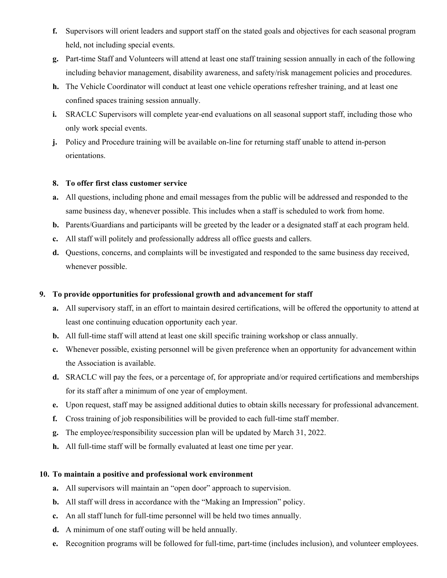- **f.** Supervisors will orient leaders and support staff on the stated goals and objectives for each seasonal program held, not including special events.
- **g.** Part-time Staff and Volunteers will attend at least one staff training session annually in each of the following including behavior management, disability awareness, and safety/risk management policies and procedures.
- **h.** The Vehicle Coordinator will conduct at least one vehicle operations refresher training, and at least one confined spaces training session annually.
- **i.** SRACLC Supervisors will complete year-end evaluations on all seasonal support staff, including those who only work special events.
- **j.** Policy and Procedure training will be available on-line for returning staff unable to attend in-person orientations.

#### **8. To offer first class customer service**

- **a.** All questions, including phone and email messages from the public will be addressed and responded to the same business day, whenever possible. This includes when a staff is scheduled to work from home.
- **b.** Parents/Guardians and participants will be greeted by the leader or a designated staff at each program held.
- **c.** All staff will politely and professionally address all office guests and callers.
- **d.** Questions, concerns, and complaints will be investigated and responded to the same business day received, whenever possible.

#### **9. To provide opportunities for professional growth and advancement for staff**

- **a.** All supervisory staff, in an effort to maintain desired certifications, will be offered the opportunity to attend at least one continuing education opportunity each year.
- **b.** All full-time staff will attend at least one skill specific training workshop or class annually.
- **c.** Whenever possible, existing personnel will be given preference when an opportunity for advancement within the Association is available.
- **d.** SRACLC will pay the fees, or a percentage of, for appropriate and/or required certifications and memberships for its staff after a minimum of one year of employment.
- **e.** Upon request, staff may be assigned additional duties to obtain skills necessary for professional advancement.
- **f.** Cross training of job responsibilities will be provided to each full-time staff member.
- **g.** The employee/responsibility succession plan will be updated by March 31, 2022.
- **h.** All full-time staff will be formally evaluated at least one time per year.

#### **10. To maintain a positive and professional work environment**

- **a.** All supervisors will maintain an "open door" approach to supervision.
- **b.** All staff will dress in accordance with the "Making an Impression" policy.
- **c.** An all staff lunch for full-time personnel will be held two times annually.
- **d.** A minimum of one staff outing will be held annually.
- **e.** Recognition programs will be followed for full-time, part-time (includes inclusion), and volunteer employees.